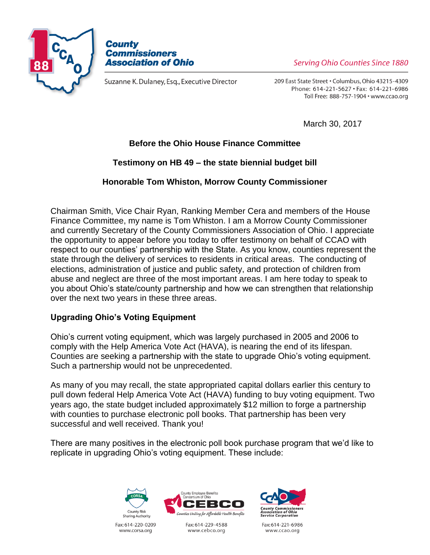



Suzanne K. Dulaney, Esq., Executive Director

Serving Ohio Counties Since 1880

209 East State Street . Columbus, Ohio 43215-4309 Phone: 614-221-5627 · Fax: 614-221-6986 Toll Free: 888-757-1904 · www.ccao.org

March 30, 2017

# **Before the Ohio House Finance Committee**

# **Testimony on HB 49 – the state biennial budget bill**

# **Honorable Tom Whiston, Morrow County Commissioner**

Chairman Smith, Vice Chair Ryan, Ranking Member Cera and members of the House Finance Committee, my name is Tom Whiston. I am a Morrow County Commissioner and currently Secretary of the County Commissioners Association of Ohio. I appreciate the opportunity to appear before you today to offer testimony on behalf of CCAO with respect to our counties' partnership with the State. As you know, counties represent the state through the delivery of services to residents in critical areas. The conducting of elections, administration of justice and public safety, and protection of children from abuse and neglect are three of the most important areas. I am here today to speak to you about Ohio's state/county partnership and how we can strengthen that relationship over the next two years in these three areas.

## **Upgrading Ohio's Voting Equipment**

Ohio's current voting equipment, which was largely purchased in 2005 and 2006 to comply with the Help America Vote Act (HAVA), is nearing the end of its lifespan. Counties are seeking a partnership with the state to upgrade Ohio's voting equipment. Such a partnership would not be unprecedented.

As many of you may recall, the state appropriated capital dollars earlier this century to pull down federal Help America Vote Act (HAVA) funding to buy voting equipment. Two years ago, the state budget included approximately \$12 million to forge a partnership with counties to purchase electronic poll books. That partnership has been very successful and well received. Thank you!

There are many positives in the electronic poll book purchase program that we'd like to replicate in upgrading Ohio's voting equipment. These include:







Fax: 614-229-4588 www.cebco.org



Fax: 614-221-6986 www.ccao.org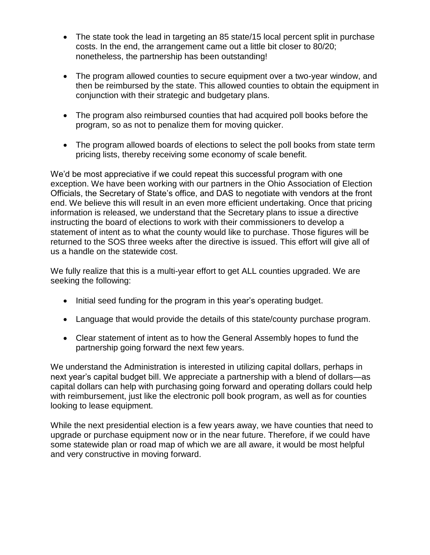- The state took the lead in targeting an 85 state/15 local percent split in purchase costs. In the end, the arrangement came out a little bit closer to 80/20; nonetheless, the partnership has been outstanding!
- The program allowed counties to secure equipment over a two-year window, and then be reimbursed by the state. This allowed counties to obtain the equipment in conjunction with their strategic and budgetary plans.
- The program also reimbursed counties that had acquired poll books before the program, so as not to penalize them for moving quicker.
- The program allowed boards of elections to select the poll books from state term pricing lists, thereby receiving some economy of scale benefit.

We'd be most appreciative if we could repeat this successful program with one exception. We have been working with our partners in the Ohio Association of Election Officials, the Secretary of State's office, and DAS to negotiate with vendors at the front end. We believe this will result in an even more efficient undertaking. Once that pricing information is released, we understand that the Secretary plans to issue a directive instructing the board of elections to work with their commissioners to develop a statement of intent as to what the county would like to purchase. Those figures will be returned to the SOS three weeks after the directive is issued. This effort will give all of us a handle on the statewide cost.

We fully realize that this is a multi-year effort to get ALL counties upgraded. We are seeking the following:

- Initial seed funding for the program in this year's operating budget.
- Language that would provide the details of this state/county purchase program.
- Clear statement of intent as to how the General Assembly hopes to fund the partnership going forward the next few years.

We understand the Administration is interested in utilizing capital dollars, perhaps in next year's capital budget bill. We appreciate a partnership with a blend of dollars—as capital dollars can help with purchasing going forward and operating dollars could help with reimbursement, just like the electronic poll book program, as well as for counties looking to lease equipment.

While the next presidential election is a few years away, we have counties that need to upgrade or purchase equipment now or in the near future. Therefore, if we could have some statewide plan or road map of which we are all aware, it would be most helpful and very constructive in moving forward.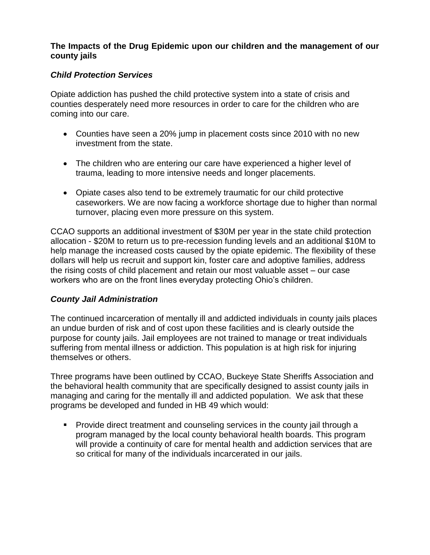#### **The Impacts of the Drug Epidemic upon our children and the management of our county jails**

## *Child Protection Services*

Opiate addiction has pushed the child protective system into a state of crisis and counties desperately need more resources in order to care for the children who are coming into our care.

- Counties have seen a 20% jump in placement costs since 2010 with no new investment from the state.
- The children who are entering our care have experienced a higher level of trauma, leading to more intensive needs and longer placements.
- Opiate cases also tend to be extremely traumatic for our child protective caseworkers. We are now facing a workforce shortage due to higher than normal turnover, placing even more pressure on this system.

CCAO supports an additional investment of \$30M per year in the state child protection allocation - \$20M to return us to pre-recession funding levels and an additional \$10M to help manage the increased costs caused by the opiate epidemic. The flexibility of these dollars will help us recruit and support kin, foster care and adoptive families, address the rising costs of child placement and retain our most valuable asset – our case workers who are on the front lines everyday protecting Ohio's children.

#### *County Jail Administration*

The continued incarceration of mentally ill and addicted individuals in county jails places an undue burden of risk and of cost upon these facilities and is clearly outside the purpose for county jails. Jail employees are not trained to manage or treat individuals suffering from mental illness or addiction. This population is at high risk for injuring themselves or others.

Three programs have been outlined by CCAO, Buckeye State Sheriffs Association and the behavioral health community that are specifically designed to assist county jails in managing and caring for the mentally ill and addicted population. We ask that these programs be developed and funded in HB 49 which would:

 Provide direct treatment and counseling services in the county jail through a program managed by the local county behavioral health boards. This program will provide a continuity of care for mental health and addiction services that are so critical for many of the individuals incarcerated in our jails.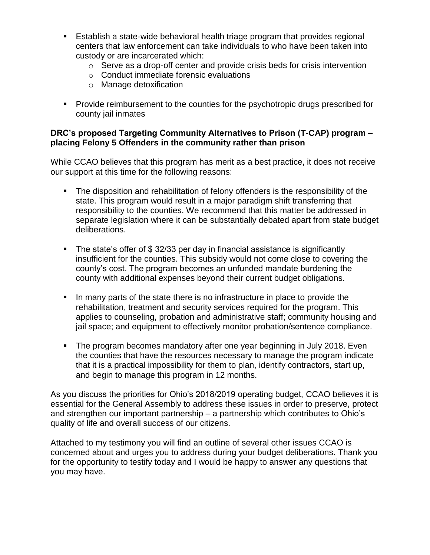- Establish a state-wide behavioral health triage program that provides regional centers that law enforcement can take individuals to who have been taken into custody or are incarcerated which:
	- o Serve as a drop-off center and provide crisis beds for crisis intervention
	- o Conduct immediate forensic evaluations
	- o Manage detoxification
- **Provide reimbursement to the counties for the psychotropic drugs prescribed for** county jail inmates

#### **DRC's proposed Targeting Community Alternatives to Prison (T-CAP) program – placing Felony 5 Offenders in the community rather than prison**

While CCAO believes that this program has merit as a best practice, it does not receive our support at this time for the following reasons:

- The disposition and rehabilitation of felony offenders is the responsibility of the state. This program would result in a major paradigm shift transferring that responsibility to the counties. We recommend that this matter be addressed in separate legislation where it can be substantially debated apart from state budget deliberations.
- The state's offer of \$ 32/33 per day in financial assistance is significantly insufficient for the counties. This subsidy would not come close to covering the county's cost. The program becomes an unfunded mandate burdening the county with additional expenses beyond their current budget obligations.
- In many parts of the state there is no infrastructure in place to provide the rehabilitation, treatment and security services required for the program. This applies to counseling, probation and administrative staff; community housing and jail space; and equipment to effectively monitor probation/sentence compliance.
- The program becomes mandatory after one year beginning in July 2018. Even the counties that have the resources necessary to manage the program indicate that it is a practical impossibility for them to plan, identify contractors, start up, and begin to manage this program in 12 months.

As you discuss the priorities for Ohio's 2018/2019 operating budget, CCAO believes it is essential for the General Assembly to address these issues in order to preserve, protect and strengthen our important partnership – a partnership which contributes to Ohio's quality of life and overall success of our citizens.

Attached to my testimony you will find an outline of several other issues CCAO is concerned about and urges you to address during your budget deliberations. Thank you for the opportunity to testify today and I would be happy to answer any questions that you may have.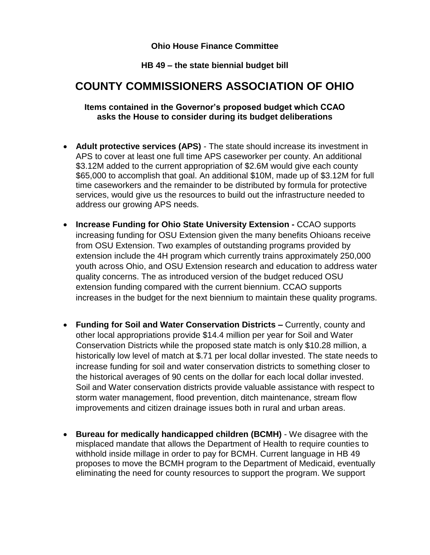#### **Ohio House Finance Committee**

## **HB 49 – the state biennial budget bill**

# **COUNTY COMMISSIONERS ASSOCIATION OF OHIO**

#### **Items contained in the Governor's proposed budget which CCAO asks the House to consider during its budget deliberations**

- **Adult protective services (APS)** The state should increase its investment in APS to cover at least one full time APS caseworker per county. An additional \$3.12M added to the current appropriation of \$2.6M would give each county \$65,000 to accomplish that goal. An additional \$10M, made up of \$3.12M for full time caseworkers and the remainder to be distributed by formula for protective services, would give us the resources to build out the infrastructure needed to address our growing APS needs.
- **Increase Funding for Ohio State University Extension -** CCAO supports increasing funding for OSU Extension given the many benefits Ohioans receive from OSU Extension. Two examples of outstanding programs provided by extension include the 4H program which currently trains approximately 250,000 youth across Ohio, and OSU Extension research and education to address water quality concerns. The as introduced version of the budget reduced OSU extension funding compared with the current biennium. CCAO supports increases in the budget for the next biennium to maintain these quality programs.
- **Funding for Soil and Water Conservation Districts –** Currently, county and other local appropriations provide \$14.4 million per year for Soil and Water Conservation Districts while the proposed state match is only \$10.28 million, a historically low level of match at \$.71 per local dollar invested. The state needs to increase funding for soil and water conservation districts to something closer to the historical averages of 90 cents on the dollar for each local dollar invested. Soil and Water conservation districts provide valuable assistance with respect to storm water management, flood prevention, ditch maintenance, stream flow improvements and citizen drainage issues both in rural and urban areas.
- **Bureau for medically handicapped children (BCMH)** We disagree with the misplaced mandate that allows the Department of Health to require counties to withhold inside millage in order to pay for BCMH. Current language in HB 49 proposes to move the BCMH program to the Department of Medicaid, eventually eliminating the need for county resources to support the program. We support